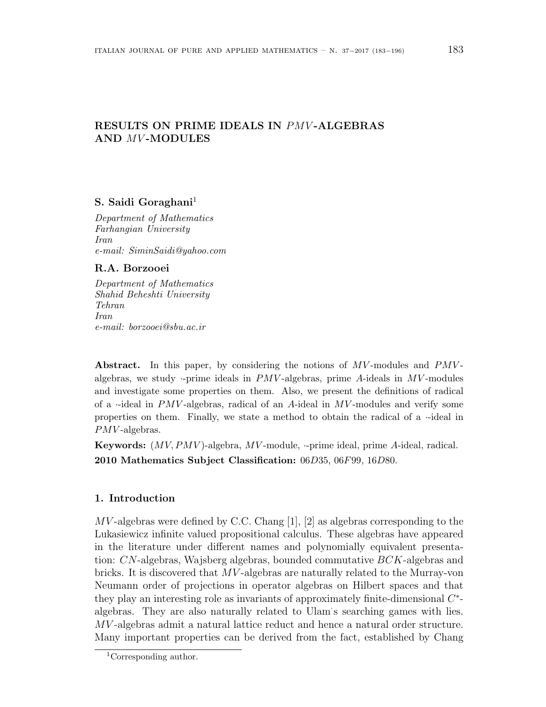# **RESULTS ON PRIME IDEALS IN** *PMV* **-ALGEBRAS AND** *MV* **-MODULES**

## **S. Saidi Goraghani**<sup>1</sup>

*Department of Mathematics Farhangian University Iran e-mail: SiminSaidi@yahoo.com*

## **R.A. Borzooei**

*Department of Mathematics Shahid Beheshti University Tehran Iran e-mail: borzooei@sbu.ac.ir*

Abstract. In this paper, by considering the notions of  $MV$ -modules and  $PMV$ algebras, we study *·*-prime ideals in *PMV* -algebras, prime *A*-ideals in *MV* -modules and investigate some properties on them. Also, we present the definitions of radical of a *·*-ideal in *PMV* -algebras, radical of an *A*-ideal in *MV* -modules and verify some properties on them. Finally, we state a method to obtain the radical of a *·*-ideal in *PMV* -algebras.

**Keywords:** (*MV, PMV* )-algebra, *MV* -module, *·*-prime ideal, prime *A*-ideal, radical. **2010 Mathematics Subject Classification:** 06*D*35, 06*F*99, 16*D*80.

## **1. Introduction**

*MV* -algebras were defined by C.C. Chang [1], [2] as algebras corresponding to the Lukasiewicz infinite valued propositional calculus. These algebras have appeared in the literature under different names and polynomially equivalent presentation: *CN*-algebras, Wajsberg algebras, bounded commutative *BCK*-algebras and bricks. It is discovered that *MV* -algebras are naturally related to the Murray-von Neumann order of projections in operator algebras on Hilbert spaces and that they play an interesting role as invariants of approximately finite-dimensional *C ∗* algebras. They are also naturally related to Ulam's searching games with lies. *MV* -algebras admit a natural lattice reduct and hence a natural order structure. Many important properties can be derived from the fact, established by Chang

<sup>1</sup>Corresponding author.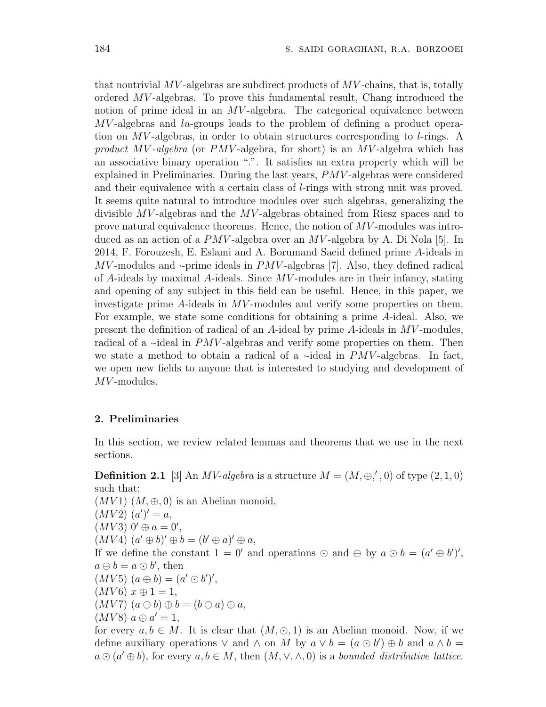that nontrivial *MV* -algebras are subdirect products of *MV* -chains, that is, totally ordered *MV* -algebras. To prove this fundamental result, Chang introduced the notion of prime ideal in an *MV*-algebra. The categorical equivalence between *MV* -algebras and *lu*-groups leads to the problem of defining a product operation on *MV* -algebras, in order to obtain structures corresponding to *l*-rings. A *product MV -algebra* (or *PMV* -algebra, for short) is an *MV* -algebra which has an associative binary operation "*.*". It satisfies an extra property which will be explained in Preliminaries. During the last years, *PMV* -algebras were considered and their equivalence with a certain class of *l*-rings with strong unit was proved. It seems quite natural to introduce modules over such algebras, generalizing the divisible *MV* -algebras and the *MV* -algebras obtained from Riesz spaces and to prove natural equivalence theorems. Hence, the notion of *MV* -modules was introduced as an action of a *PMV* -algebra over an *MV* -algebra by A. Di Nola [5]. In 2014, F. Forouzesh, E. Eslami and A. Borumand Saeid defined prime *A*-ideals in *MV* -modules and *·*-prime ideals in *PMV* -algebras [7]. Also, they defined radical of *A*-ideals by maximal *A*-ideals. Since *MV* -modules are in their infancy, stating and opening of any subject in this field can be useful. Hence, in this paper, we investigate prime *A*-ideals in *MV* -modules and verify some properties on them. For example, we state some conditions for obtaining a prime *A*-ideal. Also, we present the definition of radical of an *A*-ideal by prime *A*-ideals in *MV* -modules, radical of a *·*-ideal in *PMV*-algebras and verify some properties on them. Then we state a method to obtain a radical of a  $\cdot$ -ideal in *PMV*-algebras. In fact, we open new fields to anyone that is interested to studying and development of *MV* -modules.

#### **2. Preliminaries**

In this section, we review related lemmas and theorems that we use in the next sections.

**Definition 2.1** [3] An *MV-algebra* is a structure  $M = (M, \oplus, ', 0)$  of type  $(2, 1, 0)$ such that:

 $(MV1)$   $(M, \oplus, 0)$  is an Abelian monoid,  $(MV2)(a')' = a,$  $(MV3)$   $0' \oplus a = 0',$  $(MV4)$   $(a' \oplus b)' \oplus b = (b' \oplus a)' \oplus a$ , If we define the constant  $1 = 0'$  and operations  $\odot$  and  $\ominus$  by  $a \odot b = (a' \oplus b')'$ ,  $a \ominus b = a \odot b'$ , then  $(MV5) (a \oplus b) = (a' \odot b')',$  $(MV6)x \oplus 1 = 1,$  $(MV7)$   $(a \ominus b) \oplus b = (b \ominus a) \oplus a$ ,  $(MV8) \ a \oplus a' = 1,$ 

for every  $a, b \in M$ . It is clear that  $(M, \odot, 1)$  is an Abelian monoid. Now, if we define auxiliary operations  $\vee$  and  $\wedge$  on M by  $a \vee b = (a \odot b') \oplus b$  and  $a \wedge b =$  $a \odot (a' \oplus b)$ , for every  $a, b \in M$ , then  $(M, \vee, \wedge, 0)$  is a *bounded distributive lattice*.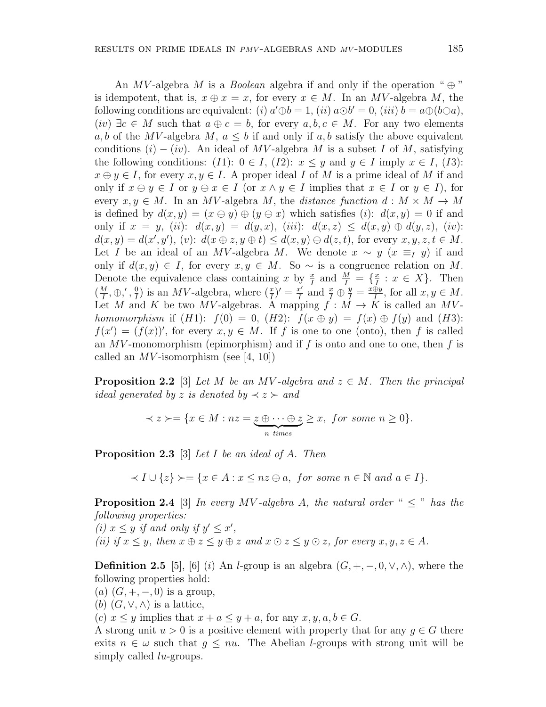An *MV*-algebra *M* is a *Boolean* algebra if and only if the operation " $\oplus$ " is idempotent, that is,  $x \oplus x = x$ , for every  $x \in M$ . In an *MV*-algebra *M*, the following conditions are equivalent: (*i*)  $a' \oplus b = 1$ , (*ii*)  $a \odot b' = 0$ , (*iii*)  $b = a \oplus (b \ominus a)$ ,  $(iv) \exists c \in M$  such that  $a \oplus c = b$ , for every  $a, b, c \in M$ . For any two elements *a, b* of the *MV*-algebra *M*,  $a \leq b$  if and only if  $a, b$  satisfy the above equivalent conditions  $(i) - (iv)$ . An ideal of *MV*-algebra *M* is a subset *I* of *M*, satisfying the following conditions:  $(I1): 0 \in I$ ,  $(I2): x \leq y$  and  $y \in I$  imply  $x \in I$ ,  $(I3):$  $x \oplus y \in I$ , for every  $x, y \in I$ . A proper ideal *I* of *M* is a prime ideal of *M* if and only if  $x \ominus y \in I$  or  $y \ominus x \in I$  (or  $x \wedge y \in I$  implies that  $x \in I$  or  $y \in I$ ), for every  $x, y \in M$ . In an *MV*-algebra *M*, the *distance function*  $d : M \times M \rightarrow M$ is defined by  $d(x, y) = (x \ominus y) \oplus (y \ominus x)$  which satisfies (*i*):  $d(x, y) = 0$  if and only if  $x = y$ , (*ii*):  $d(x, y) = d(y, x)$ , (*iii*):  $d(x, z) \leq d(x, y) \oplus d(y, z)$ , (*iv*):  $d(x, y) = d(x', y'), (v): d(x \oplus z, y \oplus t) \leq d(x, y) \oplus d(z, t)$ , for every  $x, y, z, t \in M$ . Let *I* be an ideal of an *MV*-algebra *M*. We denote  $x \sim y$  ( $x \equiv_I y$ ) if and only if  $d(x, y) \in I$ , for every  $x, y \in M$ . So ∼ is a congruence relation on *M*. Denote the equivalence class containing *x* by  $\frac{x}{I}$  and  $\frac{M}{I} = \{\frac{x}{I}\}$  $\frac{x}{I}: x \in X$ . Then  $\left(\frac{M}{I}\right)$  $\frac{M}{I}, \oplus, ', \frac{0}{I}$  $\frac{0}{I}$ ) is an *MV*-algebra, where  $(\frac{x}{I})' = \frac{x'}{I}$  $\frac{x}{I}$  and  $\frac{x}{I} \oplus \frac{y}{I} = \frac{x \oplus y}{I}$ , for all  $x, y \in M$ . Let *M* and *K* be two *MV*-algebras. A mapping  $f : M \to K$  is called an *MVhomomorphism* if  $(H1)$ :  $f(0) = 0$ ,  $(H2)$ :  $f(x \oplus y) = f(x) \oplus f(y)$  and  $(H3)$ :  $f(x') = (f(x))'$ , for every  $x, y \in M$ . If *f* is one to one (onto), then *f* is called an *MV* -monomorphism (epimorphism) and if *f* is onto and one to one, then *f* is called an  $MV$ -isomorphism (see [4, 10])

**Proposition 2.2** [3] *Let*  $M$  *be an MV -algebra and*  $z \in M$ *. Then the principal ideal generated by z is denoted by*  $\prec$  *z*  $\succ$  *and* 

$$
\prec z \succ = \{ x \in M : nz = \underbrace{z \oplus \cdots \oplus z}_{n \text{ times}} \ge x, \text{ for some } n \ge 0 \}.
$$

**Proposition 2.3** [3] *Let I be an ideal of A. Then*

 $\prec I \cup \{z\} \succ = \{x \in A : x \leq nz \oplus a, \text{ for some } n \in \mathbb{N} \text{ and } a \in I\}.$ 

**Proposition 2.4** [3] *In every MV*-algebra *A*, the natural order "  $\lt$  " has the *following properties:*

*(i)*  $x \leq y$  *if and only if*  $y' \leq x'$ , (ii) if  $x \leq y$ , then  $x \oplus z \leq y \oplus z$  and  $x \odot z \leq y \odot z$ , for every  $x, y, z \in A$ .

**Definition 2.5** [5], [6] (*i*) An *l*-group is an algebra  $(G, +, -, 0, \vee, \wedge)$ , where the following properties hold:

 $(a)$   $(G, +, -, 0)$  is a group,

(*b*)  $(G, \vee, \wedge)$  is a lattice,

(*c*)  $x \leq y$  implies that  $x + a \leq y + a$ , for any  $x, y, a, b \in G$ .

A strong unit  $u > 0$  is a positive element with property that for any  $q \in G$  there exits  $n \in \omega$  such that  $g \leq nu$ . The Abelian *l*-groups with strong unit will be simply called *lu*-groups.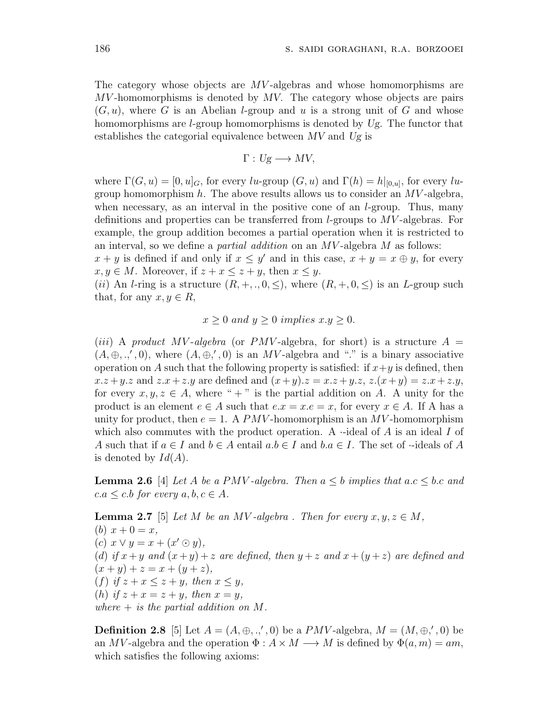The category whose objects are *MV* -algebras and whose homomorphisms are *MV* -homomorphisms is denoted by *MV*. The category whose objects are pairs (*G, u*), where *G* is an Abelian *l*-group and *u* is a strong unit of *G* and whose homomorphisms are *l*-group homomorphisms is denoted by *Ug*. The functor that establishes the categorial equivalence between *MV* and *Ug* is

$$
\Gamma: Ug\longrightarrow MV,
$$

where  $\Gamma(G, u) = [0, u]_G$ , for every *lu*-group  $(G, u)$  and  $\Gamma(h) = h|_{[0, u]}$ , for every *lu*group homomorphism *h*. The above results allows us to consider an *MV* -algebra, when necessary, as an interval in the positive cone of an *l*-group. Thus, many definitions and properties can be transferred from *l*-groups to *MV* -algebras. For example, the group addition becomes a partial operation when it is restricted to an interval, so we define a *partial addition* on an *MV* -algebra *M* as follows:

 $x + y$  is defined if and only if  $x \leq y'$  and in this case,  $x + y = x \oplus y$ , for every  $x, y \in M$ . Moreover, if  $z + x \leq z + y$ , then  $x \leq y$ .

(*ii*) An *l*-ring is a structure  $(R, +, ., 0, \leq)$ , where  $(R, +, 0, \leq)$  is an *L*-group such that, for any  $x, y \in R$ ,

$$
x \ge 0
$$
 and  $y \ge 0$  implies  $x.y \ge 0$ .

 $(iii)$  A product MV-algebra (or *PMV*-algebra, for short) is a structure  $A =$  $(A, \oplus, \ldots', 0)$ , where  $(A, \oplus, ', 0)$  is an *MV*-algebra and "." is a binary associative operation on *A* such that the following property is satisfied: if  $x + y$  is defined, then  $x \cdot z + y \cdot z$  and  $z \cdot x + z \cdot y$  are defined and  $(x + y) \cdot z = x \cdot z + y \cdot z$ ,  $z \cdot (x + y) = z \cdot x + z \cdot y$ , for every  $x, y, z \in A$ , where " + " is the partial addition on A. A unity for the product is an element  $e \in A$  such that  $e.x = x.e = x$ , for every  $x \in A$ . If A has a unity for product, then  $e = 1$ . A *PMV*-homomorphism is an *MV*-homomorphism which also commutes with the product operation. A *·*-ideal of *A* is an ideal *I* of *A* such that if  $a \in I$  and  $b \in A$  entail  $a.b \in I$  and  $b.a \in I$ . The set of *·*-ideals of *A* is denoted by  $Id(A)$ .

**Lemma 2.6** [4] *Let A be a PMV -algebra. Then*  $a \leq b$  *implies that*  $a.c \leq b.c$  *and*  $c.a \leq c.b$  *for every*  $a, b, c \in A$ *.* 

**Lemma 2.7** [5] *Let M be an MV -algebra . Then for every*  $x, y, z \in M$ *,* (*b*)  $x + 0 = x$ ,  $(c)$   $x \vee y = x + (x' \odot y)$ , (*d*) if  $x + y$  and  $(x + y) + z$  are defined, then  $y + z$  and  $x + (y + z)$  are defined and  $(x + y) + z = x + (y + z)$ (*f*) if  $z + x \leq z + y$ , then  $x \leq y$ , (*h*) *if*  $z + x = z + y$ *, then*  $x = y$ *, where* + *is the partial addition on M.*

**Definition 2.8** [5] Let  $A = (A, \oplus, ., ', 0)$  be a *PMV*-algebra,  $M = (M, \oplus, ', 0)$  be an *MV*-algebra and the operation  $\Phi: A \times M \longrightarrow M$  is defined by  $\Phi(a, m) = am$ , which satisfies the following axioms: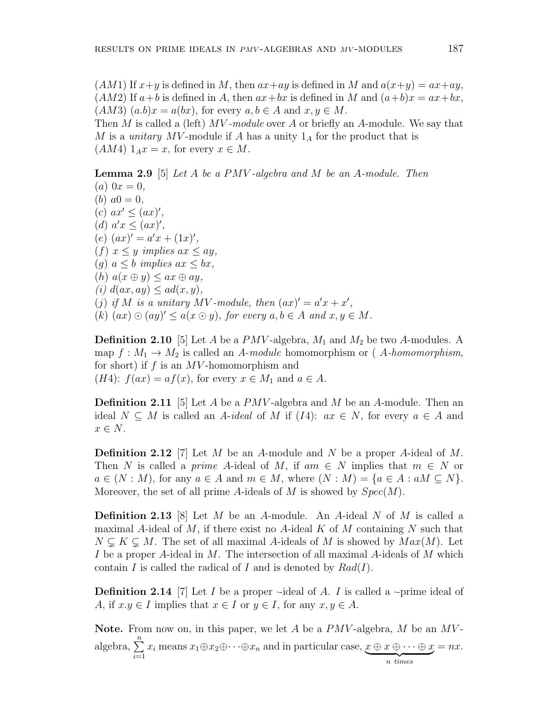$(AM1)$  If  $x+y$  is defined in *M*, then  $ax+ay$  is defined in *M* and  $a(x+y) = ax+ay$ ,  $(AM2)$  If  $a + b$  is defined in *A*, then  $ax + bx$  is defined in *M* and  $(a+b)x = ax + bx$ ,  $(AM3)$   $(a.b)x = a(bx)$ , for every  $a, b \in A$  and  $x, y \in M$ . Then *M* is called a (left) *MV -module* over *A* or briefly an *A*-module. We say that *M* is a *unitary MV* -module if *A* has a unity 1*<sup>A</sup>* for the product that is  $(AM4) 1_Ax = x$ , for every  $x \in M$ .

**Lemma 2.9** [5] *Let A be a PMV -algebra and M be an A-module. Then*

 $(a) 0x = 0,$ (*b*)  $a0 = 0$ ,  $(c)$   $ax' \leq (ax)'$ ,  $(d)$   $a'x \leq (ax)'$ ,  $(e)$   $(ax)' = a'x + (1x)'.$  $(f)$   $x \leq y$  *implies*  $ax \leq ay$ ,  $(g)$   $a \leq b$  *implies*  $ax \leq bx$ ,  $(h)$   $a(x \oplus y) \leq ax \oplus ay$ ,  $(i)$   $d(ax, ay) \leq ad(x, y)$ , (*j*) if *M* is a unitary *MV*-module, then  $(ax)' = a'x + x'$ ,  $(k)$   $(ax) \odot (ay)' \leq a(x \odot y)$ , for every  $a, b \in A$  and  $x, y \in M$ .

**Definition 2.10** [5] Let *A* be a  $PMV$ -algebra,  $M_1$  and  $M_2$  be two *A*-modules. A map  $f: M_1 \to M_2$  is called an *A-module* homomorphism or (*A-homomorphism*, for short) if *f* is an *MV* -homomorphism and  $(H4): f(ax) = af(x)$ , for every  $x \in M_1$  and  $a \in A$ .

**Definition 2.11** [5] Let *A* be a *PMV* -algebra and *M* be an *A*-module. Then an ideal  $N ⊆ M$  is called an *A*-*ideal* of *M* if (*I*4):  $ax ∈ N$ , for every  $a ∈ A$  and *x ∈ N*.

**Definition 2.12** [7] Let *M* be an *A*-module and *N* be a proper *A*-ideal of *M*. Then *N* is called a *prime A*-ideal of *M*, if  $am \in N$  implies that  $m \in N$  or  $a \in (N : M)$ , for any  $a \in A$  and  $m \in M$ , where  $(N : M) = \{a \in A : aM \subseteq N\}$ . Moreover, the set of all prime *A*-ideals of *M* is showed by *Spec*(*M*).

**Definition 2.13** [8] Let *M* be an *A*-module. An *A*-ideal *N* of *M* is called a maximal *A*-ideal of *M*, if there exist no *A*-ideal *K* of *M* containing *N* such that  $N \subsetneq K \subsetneq M$ . The set of all maximal *A*-ideals of *M* is showed by  $Max(M)$ . Let *I* be a proper *A*-ideal in *M*. The intersection of all maximal *A*-ideals of *M* which contain *I* is called the radical of *I* and is denoted by *Rad*(*I*).

**Definition 2.14** [7] Let *I* be a proper *·*-ideal of *A*. *I* is called a *·*-prime ideal of *A*, if  $x, y \in I$  implies that  $x \in I$  or  $y \in I$ , for any  $x, y \in A$ .

**Note.** From now on, in this paper, we let *A* be a *PMV* -algebra, *M* be an *MV* algebra, <sup>∑</sup>*<sup>n</sup> i*=1  $x_i$  means  $x_1 \oplus x_2 \oplus \cdots \oplus x_n$  and in particular case,  $x \oplus x \oplus \cdots \oplus x$  $\overbrace{n \; times}$  $= nx$ .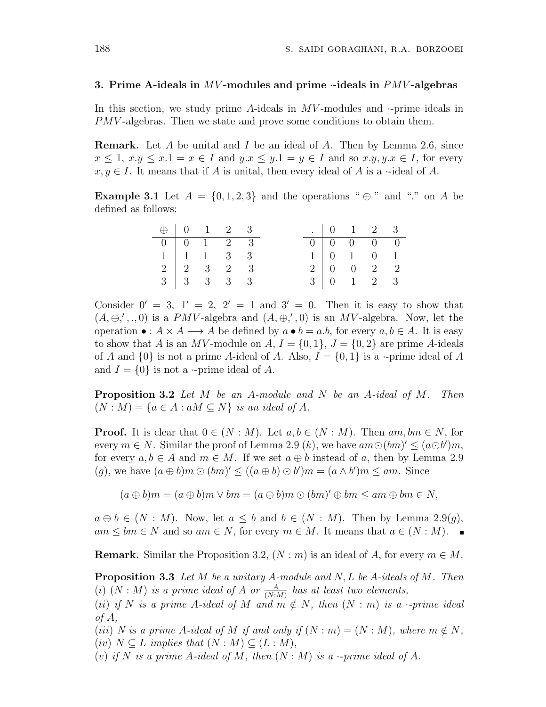#### **3. Prime A-ideals in** *MV* **-modules and prime** *·***-ideals in** *PMV* **-algebras**

In this section, we study prime *A*-ideals in *MV* -modules and *·*-prime ideals in *PMV* -algebras. Then we state and prove some conditions to obtain them.

**Remark.** Let *A* be unital and *I* be an ideal of *A*. Then by Lemma 2.6, since  $x \leq 1, x,y \leq x.1 = x \in I$  and  $y.x \leq y.1 = y \in I$  and so  $x.y, y.x \in I$ , for every  $x, y \in I$ . It means that if *A* is unital, then every ideal of *A* is a *·*-ideal of *A*.

**Example 3.1** Let  $A = \{0, 1, 2, 3\}$  and the operations " $\oplus$ " and "*.*" on *A* be defined as follows:

| $\oplus \begin{array}{cccccc} 0 & 1 & 2 & 3 \end{array}$ |                                    |  |  |  | . 0 1 2 3                                             |  |
|----------------------------------------------------------|------------------------------------|--|--|--|-------------------------------------------------------|--|
|                                                          | $0 \t 0 \t 1 \t 2 \t 3$            |  |  |  | $0 \begin{array}{ccc} 0 & 0 & 0 \end{array}$ 0        |  |
|                                                          | $1 \mid 1 \quad 1 \quad 3 \quad 3$ |  |  |  | 1   0 1 0 1                                           |  |
|                                                          | $2 \mid 2 \mid 3 \mid 2 \mid 3$    |  |  |  | $2 \begin{array}{ccc} 0 & 0 & 2 & 2 \end{array}$      |  |
|                                                          | $3 \mid 3 \mid 3 \mid 3 \mid 3$    |  |  |  | $3 \begin{array}{cccc} 3 & 0 & 1 & 2 & 3 \end{array}$ |  |

Consider  $0' = 3$ ,  $1' = 2$ ,  $2' = 1$  and  $3' = 0$ . Then it is easy to show that  $(A, \oplus, ',.,.0)$  is a *PMV*-algebra and  $(A, \oplus, ',0)$  is an *MV*-algebra. Now, let the operation  $\bullet : A \times A \longrightarrow A$  be defined by  $a \bullet b = a.b$ , for every  $a, b \in A$ . It is easy to show that *A* is an *MV*-module on *A*,  $I = \{0, 1\}$ ,  $J = \{0, 2\}$  are prime *A*-ideals of *A* and  $\{0\}$  is not a prime *A*-ideal of *A*. Also,  $I = \{0, 1\}$  is a *·*-prime ideal of *A* and  $I = \{0\}$  is not a *·*-prime ideal of A.

**Proposition 3.2** *Let M be an A-module and N be an A-ideal of M. Then*  $(N : M) = \{a \in A : aM \subseteq N\}$  *is an ideal of A.* 

**Proof.** It is clear that  $0 \in (N : M)$ . Let  $a, b \in (N : M)$ . Then  $am, bm \in N$ , for every  $m \in N$ . Similar the proof of Lemma 2.9 (*k*), we have  $am\odot(bm)' \leq (a \odot b')m$ , for every  $a, b \in A$  and  $m \in M$ . If we set  $a \oplus b$  instead of a, then by Lemma 2.9  $(g)$ , we have  $(a \oplus b)m \odot (bm)' \le ((a \oplus b) \odot b')m = (a \wedge b')m \le am$ . Since

$$
(a \oplus b)m = (a \oplus b)m \vee bm = (a \oplus b)m \odot (bm)' \oplus bm \le am \oplus bm \in N,
$$

 $a \oplus b \in (N : M)$ . Now, let  $a \leq b$  and  $b \in (N : M)$ . Then by Lemma 2.9(*q*),  $am \le bm \in N$  and so  $am \in N$ , for every  $m \in M$ . It means that  $a \in (N : M)$ .

**Remark.** Similar the Proposition 3.2,  $(N : m)$  is an ideal of *A*, for every  $m \in M$ .

**Proposition 3.3** *Let M be a unitary A-module and N, L be A-ideals of M. Then* (*i*)  $(N : M)$  *is a prime ideal of A or*  $\frac{A}{(N:M)}$  *has at least two elements,* 

(*ii*) *if*  $N$  *is a prime*  $A$ -*ideal of*  $M$  *and*  $m \notin N$ , *then*  $(N : m)$  *is a ·-prime ideal of A,*

(*iii*) *N* is a prime *A*-ideal of *M* if and only if  $(N : m) = (N : M)$ , where  $m \notin N$ ,  $(iv)$   $N \subseteq L$  *implies that*  $(N : M) \subseteq (L : M)$ ,

(*v*) *if*  $N$  *is a prime*  $A$ *-ideal of*  $M$ *, then*  $(N : M)$  *is a ·-prime ideal of*  $A$ *.*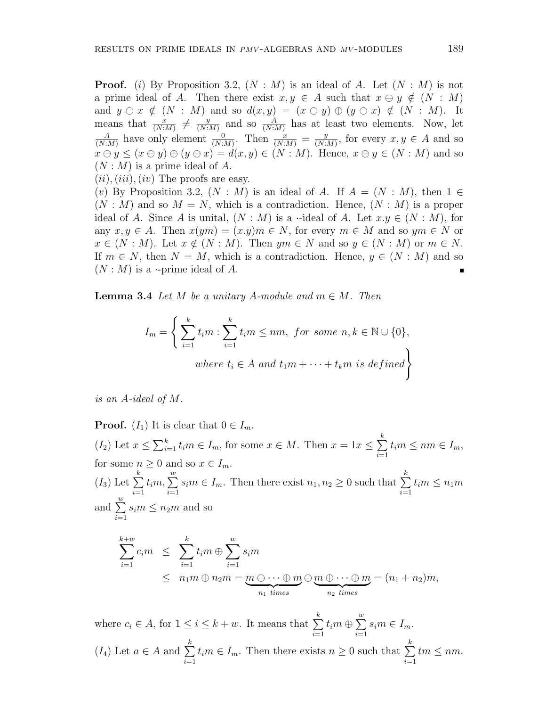**Proof.** (*i*) By Proposition 3.2,  $(N : M)$  is an ideal of *A*. Let  $(N : M)$  is not a prime ideal of *A*. Then there exist  $x, y \in A$  such that  $x \ominus y \notin (N : M)$ and  $y \in \mathcal{X} \notin (N : M)$  and so  $d(x, y) = (x \in y) \oplus (y \in x) \notin (N : M)$ . It means that  $\frac{x}{(N:M)} \neq \frac{y}{(N:M)}$  $\frac{y}{(N:M)}$  and so  $\frac{A}{(N:M)}$  has at least two elements. Now, let *A*  $\frac{A}{(N:M)}$  have only element  $\frac{0}{(N:M)}$ . Then  $\frac{x}{(N:M)} = \frac{y}{(N:M)}$  $\frac{y}{(N:M)}$ , for every  $x, y \in A$  and so  $x \ominus y \leq (x \ominus y) \oplus (y \ominus x) = d(x, y) \in (N : M)$ . Hence,  $x \ominus y \in (N : M)$  and so (*N* : *M*) is a prime ideal of *A*.

 $(iii)$ ,  $(iii)$ ,  $(iv)$  The proofs are easy.

(*v*) By Proposition 3.2,  $(N : M)$  is an ideal of A. If  $A = (N : M)$ , then  $1 \in$  $(N : M)$  and so  $M = N$ , which is a contradiction. Hence,  $(N : M)$  is a proper ideal of *A*. Since *A* is unital,  $(N : M)$  is a *·*-ideal of *A*. Let  $x.y \in (N : M)$ , for any  $x, y \in A$ . Then  $x(ym) = (x.y)m \in N$ , for every  $m \in M$  and so  $ym \in N$  or  $x \in (N : M)$ . Let  $x \notin (N : M)$ . Then  $ym \in N$  and so  $y \in (N : M)$  or  $m \in N$ . If  $m \in N$ , then  $N = M$ , which is a contradiction. Hence,  $y \in (N : M)$  and so  $(N : M)$  is a *·*-prime ideal of A.

**Lemma 3.4** *Let*  $M$  *be a unitary*  $A$ *-module and*  $m \in M$ *. Then* 

$$
I_m = \left\{ \sum_{i=1}^k t_i m : \sum_{i=1}^k t_i m \le nm, \text{ for some } n, k \in \mathbb{N} \cup \{0\},\right\}
$$
  
where  $t_i \in A$  and  $t_1 m + \dots + t_k m$  is defined

*is an A-ideal of M.*

**Proof.** ( $I_1$ ) It is clear that  $0 \in I_m$ .  $(I_2)$  Let  $x \leq \sum_{i=1}^k t_i m \in I_m$ , for some  $x \in M$ . Then  $x = 1x \leq \sum_{i=1}^k t_i m$ *k i*=1  $t_i$ *m*  $\leq$  *nm*  $\in$  *I<sub>m</sub>*, for some  $n \geq 0$  and so  $x \in I_m$ .  $(I_3)$  Let  $\Sigma$ *k i*=1  $t_i$ *m*,  $\sum^w$ *i*=1  $s_i m \in I_m$ . Then there exist  $n_1, n_2 \geq 0$  such that ∑ *k i*=1  $t_i$ *m*  $\leq n_1$ *m* and  $\sum^w$ *i*=1  $s_i$ *m*  $\leq n_2$ *m* and so *k* ∑ +*w i*=1  $c_i m \leq \sum$ *k i*=1  $t_i$ *m*  $\oplus$   $\sum_i^w$ *i*=1 *sim*  $\leq n_1m \oplus n_2m = m \oplus \cdots \oplus m$  $\overrightarrow{n_1}$  *times ⊕ m ⊕ · · · ⊕ m*  $\overrightarrow{n_2}$  *times*  $=(n_1 + n_2)m,$ 

where  $c_i \in A$ , for  $1 \leq i \leq k + w$ . It means that  $\sum$ *k i*=1  $t_i$ *m*  $\oplus \sum^w$ *i*=1  $s_i m \in I_m$ .  $(I_4)$  Let *a* ∈ *A* and  $∑$ *k i*=1  $t_i$ *m*  $\in$  *I*<sub>*m*</sub>. Then there exists *n*  $\geq$  0 such that  $\sum$ *k i*=1  $tm \leq nm$ .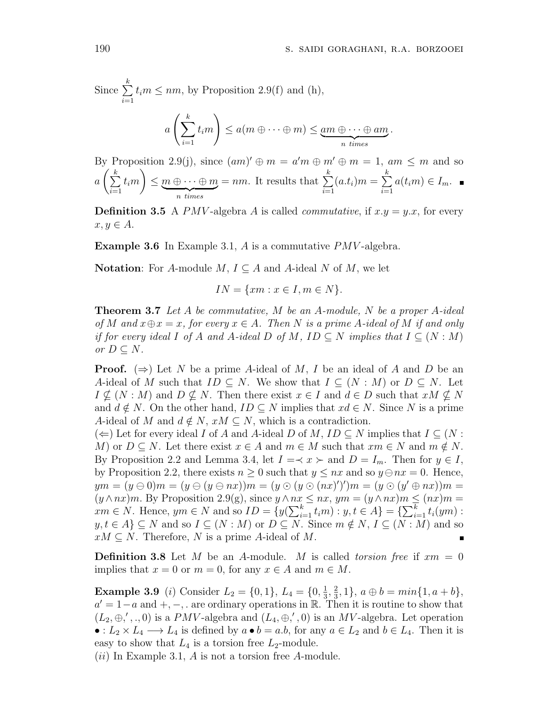Since ∑ *k i*=1  $t_i$ *m*  $\leq$  *nm*, by Proposition 2.9(f) and (h),

$$
a\left(\sum_{i=1}^k t_i m\right) \le a(m\oplus \cdots \oplus m) \le \underbrace{am\oplus \cdots \oplus am}_{n \text{ times}}.
$$

By Proposition 2.9(j), since  $(am)' \oplus m = a'm \oplus m' \oplus m = 1$ ,  $am \leq m$  and so  $a\left(\sum_{k=1}^{k} a_k\right)$ *i*=1  $m \leq m \oplus \cdots \oplus m$ | {z } *n times*  $= nm$ . It results that  $\sum$ *k i*=1  $(a.t_i)m = \sum$ *k i*=1  $a(t_im) \in I_m$ .

**Definition 3.5** A *PMV*-algebra *A* is called *commutative*, if  $x.y = y.x$ , for every  $x, y \in A$ .

**Example 3.6** In Example 3.1, *A* is a commutative *PMV* -algebra.

**Notation**: For *A*-module  $M, I \subseteq A$  and *A*-ideal  $N$  of  $M$ , we let

 $IN = \{xm : x \in I, m \in N\}.$ 

**Theorem 3.7** *Let A be commutative, M be an A-module, N be a proper A-ideal*  $of M$  and  $x \oplus x = x$ , for every  $x \in A$ . Then N is a prime A-ideal of M if and only *if for every ideal I of A and A-ideal D of M*, *ID*  $\subseteq$  *N implies that*  $I \subseteq (N : M)$  $or$  *D*  $\subseteq$  *N.* 

**Proof.**  $(\Rightarrow)$  Let N be a prime A-ideal of M, I be an ideal of A and D be an *A*-ideal of *M* such that  $ID \subseteq N$ . We show that  $I \subseteq (N : M)$  or  $D \subseteq N$ . Let  $I \nsubseteq (N : M)$  and  $D \nsubseteq N$ . Then there exist  $x \in I$  and  $d \in D$  such that  $xM \nsubseteq N$ and  $d \notin N$ . On the other hand,  $ID \subseteq N$  implies that  $xd \in N$ . Since N is a prime *A*-ideal of *M* and  $d \notin N$ ,  $xM \subseteq N$ , which is a contradiction.

 $(\Leftarrow)$  Let for every ideal *I* of *A* and *A*-ideal *D* of *M*, *ID* ⊆ *N* implies that  $I \subseteq (N : I)$ *M*) or  $D \subseteq N$ . Let there exist  $x \in A$  and  $m \in M$  such that  $xm \in N$  and  $m \notin N$ . By Proposition 2.2 and Lemma 3.4, let  $I = \langle x \rangle$  and  $D = I_m$ . Then for  $y \in I$ , by Proposition 2.2, there exists  $n \geq 0$  such that  $y \leq nx$  and so  $y \ominus nx = 0$ . Hence,  $ym=(y\ominus 0)m=(y\ominus (y\ominus nx))m=(y\ominus (y\ominus (nx)')')m=(y\ominus (y'\oplus nx))m=$  $(y \land nx)m$ . By Proposition 2.9(g), since  $y \land nx \le nx$ ,  $ym = (y \land nx)m \le (nx)m =$  $xm \in N$ . Hence,  $ym \in N$  and so  $ID = \{y(\sum_{i=1}^{k} t_i m) : y, t \in A\} = \{\sum_{i=1}^{k} t_i (ym) : x \in A\}$  $y, t \in A$   $\subseteq$   $N$  and so  $I \subseteq (N : M)$  or  $D \subseteq N$ . Since  $m \notin N$ ,  $I \subseteq (N : M)$  and so  $xM \subseteq N$ . Therefore, *N* is a prime *A*-ideal of *M*.

**Definition 3.8** Let *M* be an *A*-module. *M* is called *torsion free* if  $xm = 0$ implies that  $x = 0$  or  $m = 0$ , for any  $x \in A$  and  $m \in M$ .

**Example 3.9** (*i*) Consider  $L_2 = \{0, 1\}$ ,  $L_4 = \{0, \frac{1}{3}\}$  $\frac{1}{3}, \frac{2}{3}$  $\frac{2}{3}$ , 1},  $a \oplus b = min\{1, a+b\},\$ *a*<sup> $′$ </sup> = 1−*a* and +,−, . are ordinary operations in R. Then it is routine to show that  $(L_2, \oplus, ', ., 0)$  is a *PMV*-algebra and  $(L_4, \oplus, ', 0)$  is an *MV*-algebra. Let operation • :  $L_2 \times L_4 \longrightarrow L_4$  is defined by  $a \bullet b = a.b$ , for any  $a \in L_2$  and  $b \in L_4$ . Then it is easy to show that  $L_4$  is a torsion free  $L_2$ -module.

(*ii*) In Example 3.1, *A* is not a torsion free *A*-module.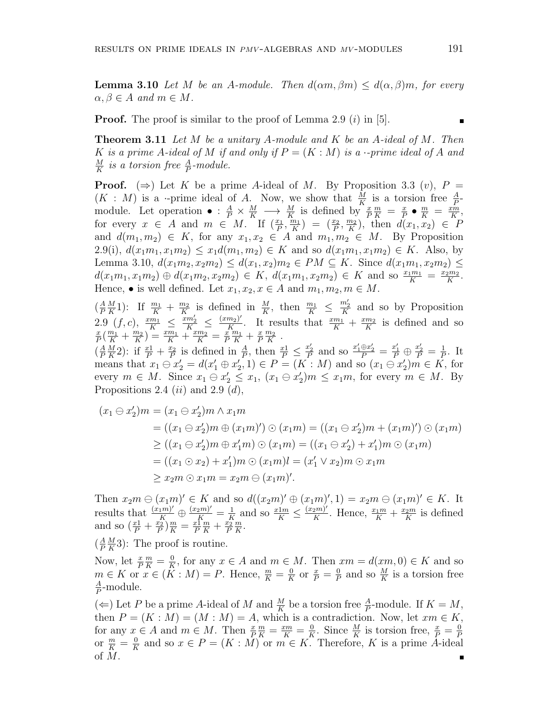**Lemma 3.10** *Let M be an A-module. Then*  $d(\alpha m, \beta m) \leq d(\alpha, \beta)m$ , for every  $\alpha, \beta \in A$  *and*  $m \in M$ *.* 

**Proof.** The proof is similar to the proof of Lemma 2.9 (*i*) in [5].

**Theorem 3.11** *Let M be a unitary A-module and K be an A-ideal of M. Then K is a prime A*-ideal of *M if and only if*  $P = (K : M)$  *is a ·-prime ideal of A and M*  $\frac{M}{K}$  *is a torsion free*  $\frac{A}{P}$ -module.

**Proof.**  $(\Rightarrow)$  Let K be a prime A-ideal of M. By Proposition 3.3  $(v)$ ,  $P =$  $(K : M)$  is a *·*-prime ideal of *A*. Now, we show that  $\frac{M}{K}$  is a torsion free  $\frac{A}{P}$ module. Let operation  $\bullet : \frac{A}{P} \times \frac{M}{K} \longrightarrow \frac{M}{K}$  is defined by  $\frac{x}{P}$  $\frac{m}{K} = \frac{x}{P}$  $\frac{x}{P}$  •  $\frac{m}{K}$  =  $\frac{x\overline{m}}{K}$  $\frac{cm}{K}$ for every  $x \in A$  and  $m \in M$ . If  $\left(\frac{x_1}{P}, \frac{n_1}{K}\right)$  $\left(\frac{m_1}{K}\right) = \left(\frac{x_2}{P}, \frac{m_2}{K}\right)$  $\frac{n_2}{K}$ , then  $d(x_1, x_2) \in P$ and  $d(m_1, m_2) \in K$ , for any  $x_1, x_2 \in A$  and  $m_1, m_2 \in M$ . By Proposition  $2.9(i)$ ,  $d(x_1m_1, x_1m_2) \leq x_1d(m_1, m_2) \in K$  and so  $d(x_1m_1, x_1m_2) \in K$ . Also, by Lemma 3.10,  $d(x_1m_2, x_2m_2) \leq d(x_1, x_2)m_2$  ∈  $PM \subseteq K$ . Since  $d(x_1m_1, x_2m_2)$  ≤  $d(x_1m_1, x_1m_2) \oplus d(x_1m_2, x_2m_2) \in K$ ,  $d(x_1m_1, x_2m_2) \in K$  and so  $\frac{x_1m_1}{K} = \frac{x_2m_2}{K}$  $\frac{2m_2}{K}$ . Hence,  $\bullet$  is well defined. Let  $x_1, x_2, x \in A$  and  $m_1, m_2, m \in M$ .

 $(\frac{A}{P}\frac{M}{K}1)$ : If  $\frac{m_1}{K} + \frac{m_2}{K}$  is defined in  $\frac{M}{K}$ , then  $\frac{m_1}{K} \leq \frac{m'_2}{K}$  and so by Proposition  $P K^{-1}$  **K** *K K* **K** *K K K K K K K K K K K K K K K K K K K K K K K K K M K A K M K M K*  $2.9 \left( f, c \right), \frac{x m_1}{K} \leq \frac{x m_2'}{K} \leq \frac{(x m_2)'}{K}$  $\frac{(m_2)^r}{K}$ . It results that  $\frac{x m_1}{K} + \frac{x m_2}{K}$  $\frac{m_2}{K}$  is defined and so *x*  $\frac{x}{P}(\frac{m_1}{K} + \frac{m_2}{K})$  $\left(\frac{m_2}{K}\right) = \frac{x m_1}{K} + \frac{x m_2}{K} = \frac{x}{P}$ *P*  $\frac{m_1}{K} + \frac{x}{F}$ *P m*<sup>2</sup>  $\frac{n_2}{K}$  .

 $\left(\frac{A}{P}\right)$ *P M*  $\frac{M}{K}$ 2): if  $\frac{x1}{P} + \frac{x_2}{P}$  $\frac{x_2}{P}$  is defined in  $\frac{A}{P}$ , then  $\frac{x_1}{P} \leq \frac{x_2'}{P}$  and so  $\frac{x_1' \oplus x_2'}{P} = \frac{x_1'}{P} \oplus \frac{x_2'}{P} = \frac{1}{P}$  $\frac{1}{P}$ . It means that  $x_1 \ominus x_2' = d(x_1' \oplus x_2', 1) \in P = (K : M)$  and so  $(x_1 \ominus x_2')m \in K$ , for every  $m \in M$ . Since  $x_1 \ominus x_2' \le x_1$ ,  $(x_1 \ominus x_2')m \le x_1m$ , for every  $m \in M$ . By Propositions 2.4 (*ii*) and 2.9 (*d*),

$$
(x_1 \ominus x_2')m = (x_1 \ominus x_2')m \wedge x_1m
$$
  
=  $((x_1 \ominus x_2')m \oplus (x_1m)') \odot (x_1m) = ((x_1 \ominus x_2')m + (x_1m)') \odot (x_1m)$   

$$
\ge ((x_1 \ominus x_2')m \oplus x_1'm) \odot (x_1m) = ((x_1 \ominus x_2') + x_1')m \odot (x_1m)
$$
  
=  $((x_1 \odot x_2) + x_1')m \odot (x_1m)l = (x_1' \vee x_2)m \odot x_1m$   

$$
\ge x_2m \odot x_1m = x_2m \ominus (x_1m)'
$$
.

Then  $x_2m \ominus (x_1m)' \in K$  and so  $d((x_2m)' \oplus (x_1m)', 1) = x_2m \ominus (x_1m)' \in K$ . It results that  $\frac{(x_1 m)'}{K} \oplus \frac{(x_2 m)'}{K} = \frac{1}{K}$  $\frac{1}{K}$  and so  $\frac{x \cdot 1}{K} \leq \frac{(x_2 m)'}{K}$ *K*<sup>2*m*</sup>. Hence,  $\frac{x_1 m}{K} + \frac{x_2 m}{K}$  $\frac{2^m}{K}$  is defined and so  $\left(\frac{x_1}{P} + \frac{x_2}{P}\right)$  $\frac{x_2}{P}$ ) $\frac{m}{K} = \frac{x_1}{P}$ *P*  $\frac{m}{K} + \frac{x_2}{P}$ *P m*  $\frac{m}{K}$ .

 $\left(\frac{A}{P}\right)$ *P M*  $\frac{M}{K}$ 3): The proof is routine.

Now, let  $\frac{x}{P}$  $\frac{m}{K} = \frac{0}{K}$ *<u>R</u>*, for any *x* ∈ *A* and *m* ∈ *M*. Then  $xm = d(xm, 0) \in K$  and so  $m \in K$  or  $x \in (\tilde{K}:M) = P$ . Hence,  $\frac{m}{K} = \frac{0}{K}$  $\frac{0}{K}$  or  $\frac{x}{P} = \frac{0}{P}$  $\frac{0}{P}$  and so  $\frac{M}{K}$  is a torsion free *A*  $\frac{A}{P}$ -module.

(*⇐*) Let *P* be a prime *A*-ideal of *M* and  $\frac{M}{K}$  be a torsion free  $\frac{A}{P}$ -module. If  $K = M$ , then  $P = (K : M) = (M : M) = A$ , which is a contradiction. Now, let  $xm \in K$ , for any  $x \in A$  and  $m \in M$ . Then  $\frac{x}{P}$  $\frac{m}{K} = \frac{xm}{K} = \frac{0}{K}$  $\frac{0}{K}$ . Since  $\frac{M}{K}$  is torsion free,  $\frac{x}{P} = \frac{0}{P}$ or  $\frac{m}{K} = \frac{0}{K}$  and so  $x \in P = (K : M)$  or  $m \in K$ . Therefore, K is a prime A-idea  $\frac{0}{K}$  and so  $x \in P = (K : M)$  or  $m \in K$ . Therefore, *K* is a prime *A*-ideal of *M*.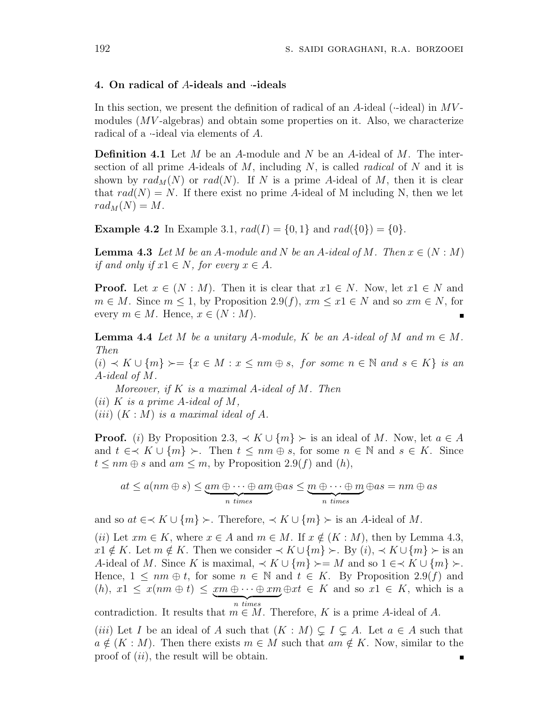#### **4. On radical of** *A***-ideals and** *·***-ideals**

In this section, we present the definition of radical of an *A*-ideal (*·*-ideal) in *MV* modules (*MV* -algebras) and obtain some properties on it. Also, we characterize radical of a *·*-ideal via elements of *A*.

**Definition 4.1** Let *M* be an *A*-module and *N* be an *A*-ideal of *M*. The intersection of all prime *A*-ideals of *M*, including *N*, is called *radical* of *N* and it is shown by  $rad_M(N)$  or  $rad(N)$ . If N is a prime A-ideal of M, then it is clear that  $rad(N) = N$ . If there exist no prime A-ideal of M including N, then we let  $rad_M(N) = M$ .

**Example 4.2** In Example 3.1,  $rad(I) = \{0, 1\}$  and  $rad(\{0\}) = \{0\}$ .

**Lemma 4.3** Let  $M$  be an  $A$ -module and  $N$  be an  $A$ -ideal of  $M$ . Then  $x \in (N : M)$ *if and only if*  $x1 \in N$ *, for every*  $x \in A$ *.* 

**Proof.** Let  $x \in (N : M)$ . Then it is clear that  $x1 \in N$ . Now, let  $x1 \in N$  and  $m \in M$ . Since  $m \leq 1$ , by Proposition 2.9(*f*),  $xm \leq x1 \in N$  and so  $xm \in N$ , for every  $m \in M$ . Hence,  $x \in (N : M)$ .

**Lemma 4.4** Let M be a unitary A-module, K be an A-ideal of M and  $m \in M$ . *Then*

(*i*) *≺ K ∪ {m} ≻*= *{x ∈ M* : *x ≤ nm ⊕ s, for some n ∈* N *and s ∈ K} is an A-ideal of M.*

*Moreover, if K is a maximal A-ideal of M. Then*

(*ii*)  $K$  *is a prime A-ideal of*  $M$ ,

 $(iii)$   $(K : M)$  *is a maximal ideal of A.* 

**Proof.** (*i*) By Proposition 2.3,  $\prec K \cup \{m\} \succ$  is an ideal of *M*. Now, let  $a \in A$ and  $t \in \mathcal{X}$  *U*  $\{m\}$  ≻. Then  $t \leq nm \oplus s$ , for some  $n \in \mathbb{N}$  and  $s \in K$ . Since  $t \leq nm \oplus s$  and  $am \leq m$ , by Proposition 2.9(*f*) and (*h*),

$$
at \le a(nm \oplus s) \le \underbrace{am \oplus \cdots \oplus am}_{n \text{ times}} \oplus as \le \underbrace{m \oplus \cdots \oplus m}_{n \text{ times}} \oplus as = nm \oplus as
$$

and so  $at \in \{K \cup \{m\} \succ \{m\} \subset \{K \cup \{m\}}$  is an *A*-ideal of *M*.

(*ii*) Let  $xm \in K$ , where  $x \in A$  and  $m \in M$ . If  $x \notin (K : M)$ , then by Lemma 4.3, *x*<sup>1</sup> ∉ *K*. Let *m* ∉ *K*. Then we consider  $\prec K \cup \{m\} \succ$ . By (*i*),  $\prec K \cup \{m\} \succ$  is an *A*-ideal of *M*. Since *K* is maximal,  $\prec K \cup \{m\} \succcurlyeq M$  and so  $1 \in \prec K \cup \{m\} \succcurlyeq M$ . Hence,  $1 \leq nm \oplus t$ , for some  $n \in \mathbb{N}$  and  $t \in K$ . By Proposition 2.9(*f*) and  $(h), x1 \leq x(nm \oplus t) \leq xm \oplus \cdots \oplus xm \oplus xt \in K$  and so  $x1 \in K$ , which is a | {z } *n times*

contradiction. It results that  $m \in M$ . Therefore, *K* is a prime *A*-ideal of *A*.

(*iii*) Let *I* be an ideal of *A* such that  $(K : M) \subseteq I \subseteq A$ . Let  $a \in A$  such that  $a \notin (K : M)$ . Then there exists  $m \in M$  such that  $am \notin K$ . Now, similar to the proof of (*ii*), the result will be obtain.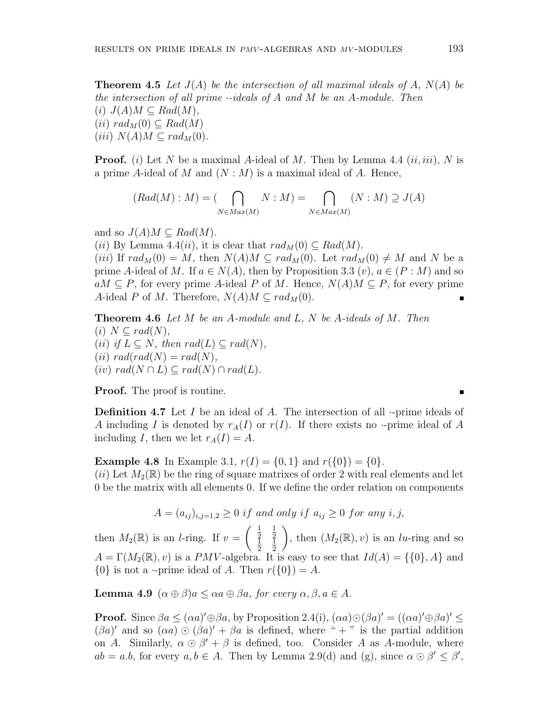**Theorem 4.5** *Let J*(*A*) *be the intersection of all maximal ideals of A, N*(*A*) *be the intersection of all prime ·-ideals of A and M be an A-module. Then*  $(i)$   $J(A)M \subseteq Rad(M)$ ,  $(iii) rad_M(0) ⊂ Rad(M)$  $(iii)$   $N(A)M \subseteq rad_M(0)$ .

**Proof.** (*i*) Let *N* be a maximal *A*-ideal of *M*. Then by Lemma 4.4 (*ii, iii*), *N* is a prime *A*-ideal of *M* and (*N* : *M*) is a maximal ideal of *A*. Hence,

$$
(Rad(M):M) = (\bigcap_{N \in Max(M)} N : M) = \bigcap_{N \in Max(M)} (N : M) \supseteq J(A)
$$

and so  $J(A)M \subseteq Rad(M)$ .

(*ii*) By Lemma 4.4(*ii*), it is clear that  $rad_M(0) \subseteq Rad(M)$ .

 $(iii)$  If  $rad_M(0) = M$ , then  $N(A)M \subseteq rad_M(0)$ . Let  $rad_M(0) \neq M$  and N be a prime *A*-ideal of *M*. If  $a \in N(A)$ , then by Proposition 3.3  $(v)$ ,  $a \in (P : M)$  and so *aM* ⊆ *P*, for every prime *A*-ideal *P* of *M*. Hence,  $N(A)M ⊆ P$ , for every prime *A*-ideal *P* of *M*. Therefore,  $N(A)M \subseteq rad_M(0)$ .

**Theorem 4.6** *Let M be an A-module and L, N be A-ideals of M. Then*  $(i)$   $N \subset rad(N)$ ,  $(iii)$  *if*  $L \subseteq N$ *, then*  $rad(L) \subseteq rad(N)$ *,*  $(iii) rad(rad(N) = rad(N),$  $(iv) rad(N \cap L) \subseteq rad(N) \cap rad(L)$ .

**Proof.** The proof is routine.

**Definition 4.7** Let *I* be an ideal of *A*. The intersection of all *·*-prime ideals of *A* including *I* is denoted by  $r_A(I)$  or  $r(I)$ . If there exists no *·*-prime ideal of *A* including *I*, then we let  $r_A(I) = A$ .

**Example 4.8** In Example 3.1,  $r(I) = \{0, 1\}$  and  $r(\{0\}) = \{0\}$ .  $(iii)$  Let  $M_2(\mathbb{R})$  be the ring of square matrixes of order 2 with real elements and let 0 be the matrix with all elements 0. If we define the order relation on components

$$
A = (a_{ij})_{i,j=1,2} \ge 0 \text{ if and only if } a_{ij} \ge 0 \text{ for any } i,j,
$$

then  $M_2(\mathbb{R})$  is an *l*-ring. If  $v =$  $\left(\begin{array}{c}1\\2\end{array}\right)$ 1  $\begin{matrix} 2 & 2 \\ 1 & 1 \end{matrix}$ 2 1 2 ), then  $(M_2(\mathbb{R}), v)$  is an *lu*-ring and so  $A = \Gamma(M_2(\mathbb{R}), v)$  is a *PMV*-algebra. It is easy to see that  $Id(A) = \{0\}$ , A and  $\{0\}$  is not a *·*-prime ideal of *A*. Then  $r(\{0\}) = A$ .

**Lemma 4.9**  $(\alpha \oplus \beta)a \leq \alpha a \oplus \beta a$ , for every  $\alpha, \beta, a \in A$ .

**Proof.** Since  $\beta a \leq (\alpha a)' \oplus \beta a$ , by Proposition 2.4(i),  $(\alpha a) \odot (\beta a)' = ((\alpha a)' \oplus \beta a)' \leq$  $(\beta a)'$  and so  $(\alpha a) \odot (\beta a)' + \beta a$  is defined, where " $+$ " is the partial addition on *A*. Similarly,  $\alpha \odot \beta' + \beta$  is defined, too. Consider *A* as *A*-module, where  $ab = a.b$ , for every  $a, b \in A$ . Then by Lemma 2.9(d) and (g), since  $\alpha \odot \beta' \leq \beta'$ ,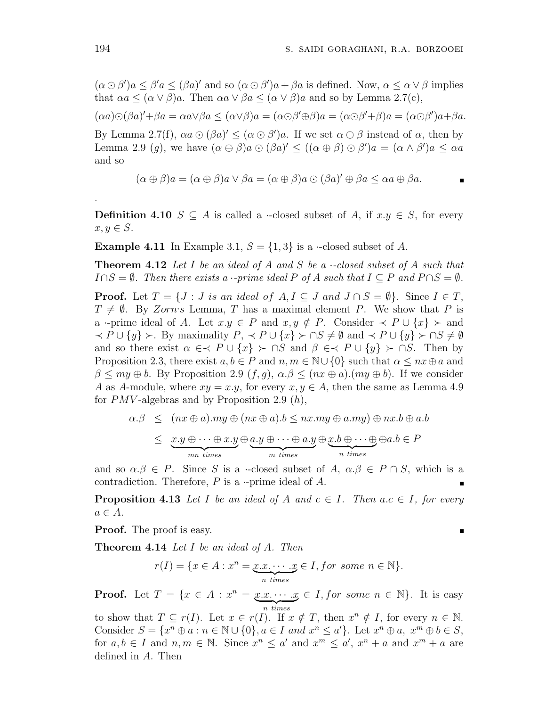П

 $(\alpha \odot \beta')a \leq \beta'a \leq (\beta a)'$  and so  $(\alpha \odot \beta')a + \beta a$  is defined. Now,  $\alpha \leq \alpha \vee \beta$  implies that  $\alpha a \leq (\alpha \vee \beta)a$ . Then  $\alpha a \vee \beta a \leq (\alpha \vee \beta)a$  and so by Lemma 2.7(c),

 $(\alpha a)\odot(\beta a)' + \beta a = \alpha a \vee \beta a \leq (\alpha \vee \beta)a = (\alpha \odot \beta' \oplus \beta)a = (\alpha \odot \beta' + \beta)a = (\alpha \odot \beta')a + \beta a.$ 

By Lemma 2.7(f),  $\alpha a \odot (\beta a)' \leq (\alpha \odot \beta')a$ . If we set  $\alpha \oplus \beta$  instead of  $\alpha$ , then by Lemma 2.9 (g), we have  $(\alpha \oplus \beta)a \odot (\beta a)' \leq ((\alpha \oplus \beta) \odot \beta')a = (\alpha \wedge \beta')a \leq \alpha a$ and so

$$
(\alpha \oplus \beta)a = (\alpha \oplus \beta)a \vee \beta a = (\alpha \oplus \beta)a \odot (\beta a)' \oplus \beta a \leq \alpha a \oplus \beta a.
$$

**Definition 4.10** *S*  $\subseteq$  *A* is called a *·*-closed subset of *A*, if *x.y*  $\in$  *S*, for every  $x, y \in S$ .

**Example 4.11** In Example 3.1,  $S = \{1,3\}$  is a *·*-closed subset of *A*.

**Theorem 4.12** *Let I be an ideal of A and S be a ·-closed subset of A such that*  $I \cap S = \emptyset$ . Then there exists a *·-prime ideal P* of *A* such that  $I \subseteq P$  and  $P \cap S = \emptyset$ .

**Proof.** Let  $T = \{J : J \text{ is an ideal of } A, I \subseteq J \text{ and } J \cap S = \emptyset\}$ . Since  $I \in T$ ,  $T \neq \emptyset$ . By *Zorns* Lemma, *T* has a maximal element *P*. We show that *P* is a *·*-prime ideal of *A*. Let  $x.y \in P$  and  $x,y \notin P$ . Consider  $\prec P \cup \{x\} \succ \text{and}$  $\prec P \cup \{y\} \succ$ . By maximality  $P, \prec P \cup \{x\} \succ \cap S \neq \emptyset$  and  $\prec P \cup \{y\} \succ \cap S \neq \emptyset$ and so there exist  $\alpha \in \mathcal{A}$   $P \cup \{x\}$  >  $\cap S$  and  $\beta \in \mathcal{A}$   $P \cup \{y\}$  >  $\cap S$ . Then by Proposition 2.3, there exist  $a, b \in P$  and  $n, m \in \mathbb{N} \cup \{0\}$  such that  $\alpha \le nx \oplus a$  and  $\beta \leq my \oplus b$ . By Proposition 2.9  $(f, g)$ ,  $\alpha \beta \leq (nx \oplus a)$ *.*(*my*  $\oplus b$ ). If we consider *A* as *A*-module, where  $xy = x.y$ , for every  $x, y \in A$ , then the same as Lemma 4.9 for *PMV* -algebras and by Proposition 2.9 (*h*),

$$
\alpha.\beta \leq (nx \oplus a).my \oplus (nx \oplus a).b \leq nx.my \oplus a.my) \oplus nx.b \oplus a.b
$$
  

$$
\leq \underbrace{x.y \oplus \cdots \oplus x.y}_{mn \ times} \oplus \underbrace{a.y \oplus \cdots \oplus a.y}_{m \ times} \oplus \underbrace{x.b \oplus \cdots \oplus}_{n \ times} \oplus a.b \in P
$$

and so  $\alpha.\beta \in P$ . Since *S* is a *·*-closed subset of *A*,  $\alpha.\beta \in P \cap S$ , which is a contradiction. Therefore, *P* is a *·*-prime ideal of *A*.

**Proposition 4.13** Let *I* be an ideal of *A* and  $c \in I$ . Then  $a.c \in I$ , for every  $a \in A$ *.* 

**Proof.** The proof is easy.

**Theorem 4.14** *Let I be an ideal of A. Then*

$$
r(I) = \{x \in A : x^n = \underbrace{x.x, \dots, x}_{n \text{ times}} \in I, \text{ for some } n \in \mathbb{N}\}.
$$

**Proof.** Let  $T = \{x \in A : x^n = x.x \cdots x \in I, \text{ for some } n \in \mathbb{N}\}.$  It is easy  $\overline{n \ times}$ 

to show that  $T \subseteq r(I)$ . Let  $x \in r(I)$ . If  $x \notin T$ , then  $x^n \notin I$ , for every  $n \in \mathbb{N}$ . Consider  $S = \{x^n \oplus a : n \in \mathbb{N} \cup \{0\}, a \in I \text{ and } x^n \leq a'\}.$  Let  $x^n \oplus a, x^m \oplus b \in S$ , for  $a, b \in I$  and  $n, m \in \mathbb{N}$ . Since  $x^n \le a'$  and  $x^m \le a'$ ,  $x^n + a$  and  $x^m + a$  are defined in *A*. Then

.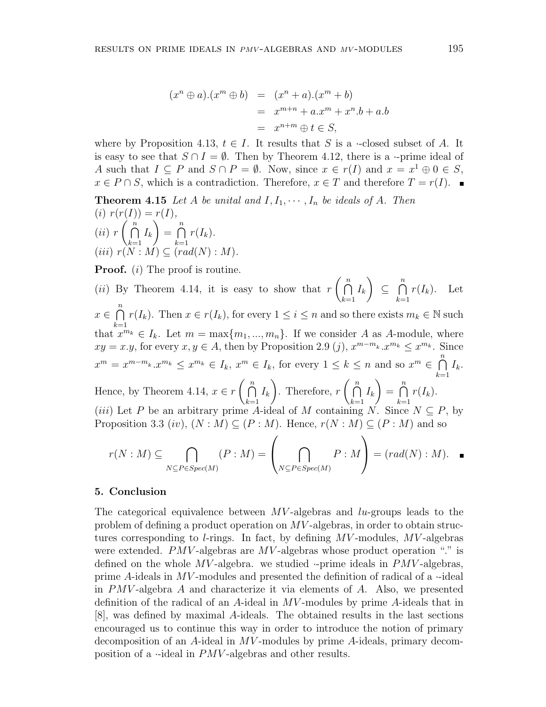$$
(xn \oplus a).(xm \oplus b) = (xn + a).(xm + b)
$$
  
= 
$$
xm+n + a.xm + xn.b + a.b
$$
  
= 
$$
xn+m \oplus t \in S,
$$

where by Proposition 4.13,  $t \in I$ . It results that *S* is a *·*-closed subset of *A*. It is easy to see that  $S \cap I = \emptyset$ . Then by Theorem 4.12, there is a *·*-prime ideal of *A* such that  $I \subseteq P$  and  $S \cap P = \emptyset$ . Now, since  $x \in r(I)$  and  $x = x^1 \oplus 0 \in S$ , *x* ∈ *P* ∩ *S*, which is a contradiction. Therefore, *x* ∈ *T* and therefore *T* = *r*(*I*). ■

**Theorem 4.15** *Let A be unital and*  $I, I_1, \cdots, I_n$  *be ideals of A. Then*  $(i)$   $r(r(I)) = r(I)$ ,  $(iii)$   $r(\bigcap^n$ *k*=1  $I_k$   $= \bigcap^n$ *k*=1  $r(I_k)$ .  $(iii)$   $r(N : M) \subseteq (rad(N) : M)$ 

**Proof.** (*i*) The proof is routine.

(*ii*) By Theorem 4.14, it is easy to show that  $r \nvert \nvert \nvert$ *k*=1  $I_k$ *⊆* ∩*n k*=1  $r(I_k)$ . Let *x ∈* ∩*n k*=1 *r*(*I<sub>k</sub>*). Then  $x \in r(I_k)$ , for every  $1 \leq i \leq n$  and so there exists  $m_k \in \mathbb{N}$  such that  $x^{m_k} \in I_k$ . Let  $m = \max\{m_1, ..., m_n\}$ . If we consider *A* as *A*-module, where  $xy = x \cdot y$ , for every  $x, y \in A$ , then by Proposition 2.9 (*j*),  $x^{m-m_k} \cdot x^{m_k} \leq x^{m_k}$ . Since  $x^m = x^{m-m_k} \cdot x^{m_k} \leq x^{m_k} \in I_k$ ,  $x^m \in I_k$ , for every  $1 \leq k \leq n$  and so  $x^m \in \bigcap_{k=1}^n I_k$ *k*=1 *Ik*. Hence, by Theorem 4.14,  $x \in r \binom{n}{n}$ *k*=1  $I_k$ ). Therefore,  $r \nvert \nvert$ *k*=1  $I_k$   $=$   $\bigcap^n$ *k*=1  $r(I_k)$ .  $(iii)$  Let *P* be an arbitrary prime *A*-ideal of *M* containing *N*. Since  $N \subseteq P$ , by Proposition 3.3 (*iv*),  $(N : M) \subseteq (P : M)$ . Hence,  $r(N : M) \subseteq (P : M)$  and so

$$
r(N:M) \subseteq \bigcap_{N \subseteq P \in Spec(M)} (P:M) = \left(\bigcap_{N \subseteq P \in Spec(M)} P:M\right) = (rad(N):M).
$$

#### **5. Conclusion**

The categorical equivalence between *MV* -algebras and *lu*-groups leads to the problem of defining a product operation on *MV* -algebras, in order to obtain structures corresponding to *l*-rings. In fact, by defining *MV* -modules, *MV* -algebras were extended. *PMV*-algebras are *MV*-algebras whose product operation "." is defined on the whole *MV* -algebra. we studied *·*-prime ideals in *PMV* -algebras, prime *A*-ideals in *MV* -modules and presented the definition of radical of a *·*-ideal in *PMV* -algebra *A* and characterize it via elements of *A*. Also, we presented definition of the radical of an *A*-ideal in *MV* -modules by prime *A*-ideals that in [8], was defined by maximal *A*-ideals. The obtained results in the last sections encouraged us to continue this way in order to introduce the notion of primary decomposition of an *A*-ideal in *MV* -modules by prime *A*-ideals, primary decomposition of a *·*-ideal in *PMV* -algebras and other results.